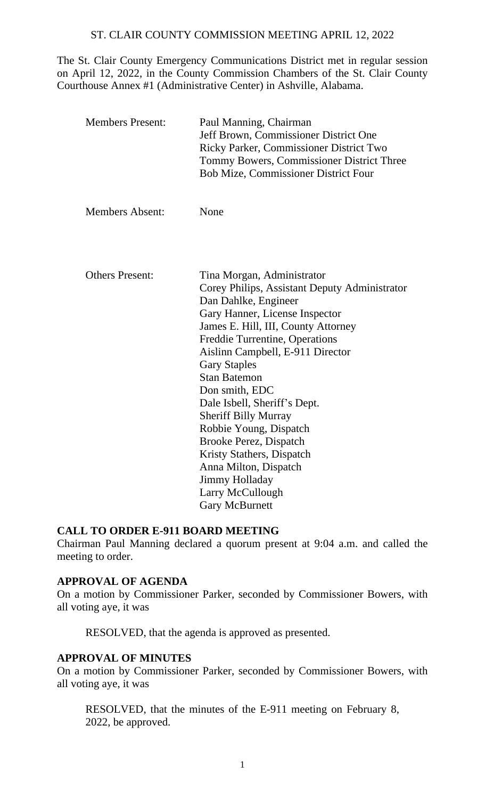### ST. CLAIR COUNTY COMMISSION MEETING APRIL 12, 2022

The St. Clair County Emergency Communications District met in regular session on April 12, 2022, in the County Commission Chambers of the St. Clair County Courthouse Annex #1 (Administrative Center) in Ashville, Alabama.

| <b>Members Present:</b> | Paul Manning, Chairman<br>Jeff Brown, Commissioner District One<br>Ricky Parker, Commissioner District Two<br>Tommy Bowers, Commissioner District Three<br><b>Bob Mize, Commissioner District Four</b>                                                                                                                                                                                                                                                                                                               |
|-------------------------|----------------------------------------------------------------------------------------------------------------------------------------------------------------------------------------------------------------------------------------------------------------------------------------------------------------------------------------------------------------------------------------------------------------------------------------------------------------------------------------------------------------------|
| <b>Members Absent:</b>  | None                                                                                                                                                                                                                                                                                                                                                                                                                                                                                                                 |
| <b>Others Present:</b>  | Tina Morgan, Administrator<br>Corey Philips, Assistant Deputy Administrator<br>Dan Dahlke, Engineer<br>Gary Hanner, License Inspector<br>James E. Hill, III, County Attorney<br>Freddie Turrentine, Operations<br>Aislinn Campbell, E-911 Director<br><b>Gary Staples</b><br><b>Stan Batemon</b><br>Don smith, EDC<br>Dale Isbell, Sheriff's Dept.<br><b>Sheriff Billy Murray</b><br>Robbie Young, Dispatch<br>Brooke Perez, Dispatch<br>Kristy Stathers, Dispatch<br>Anna Milton, Dispatch<br><b>Jimmy Holladay</b> |
|                         | Larry McCullough<br><b>Gary McBurnett</b>                                                                                                                                                                                                                                                                                                                                                                                                                                                                            |

#### **CALL TO ORDER E-911 BOARD MEETING**

Chairman Paul Manning declared a quorum present at 9:04 a.m. and called the meeting to order.

## **APPROVAL OF AGENDA**

On a motion by Commissioner Parker, seconded by Commissioner Bowers, with all voting aye, it was

RESOLVED, that the agenda is approved as presented.

#### **APPROVAL OF MINUTES**

On a motion by Commissioner Parker, seconded by Commissioner Bowers, with all voting aye, it was

RESOLVED, that the minutes of the E-911 meeting on February 8, 2022, be approved.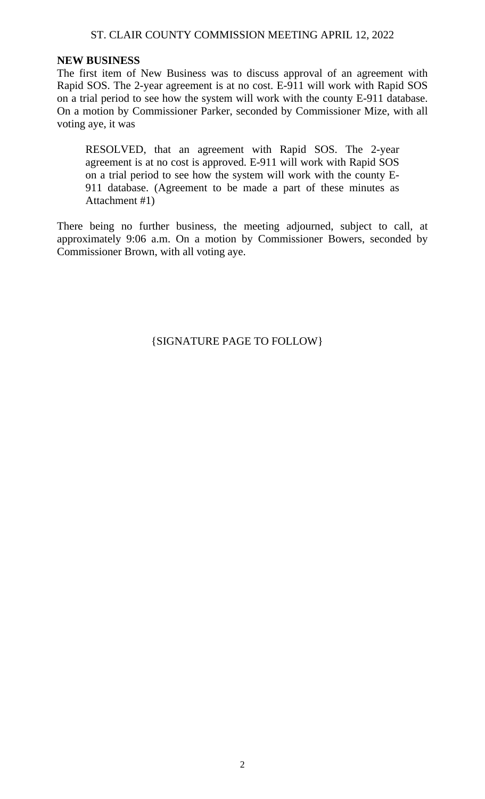## ST. CLAIR COUNTY COMMISSION MEETING APRIL 12, 2022

#### **NEW BUSINESS**

The first item of New Business was to discuss approval of an agreement with Rapid SOS. The 2-year agreement is at no cost. E-911 will work with Rapid SOS on a trial period to see how the system will work with the county E-911 database. On a motion by Commissioner Parker, seconded by Commissioner Mize, with all voting aye, it was

RESOLVED, that an agreement with Rapid SOS. The 2-year agreement is at no cost is approved. E-911 will work with Rapid SOS on a trial period to see how the system will work with the county E-911 database. (Agreement to be made a part of these minutes as Attachment #1)

There being no further business, the meeting adjourned, subject to call, at approximately 9:06 a.m. On a motion by Commissioner Bowers, seconded by Commissioner Brown, with all voting aye.

{SIGNATURE PAGE TO FOLLOW}